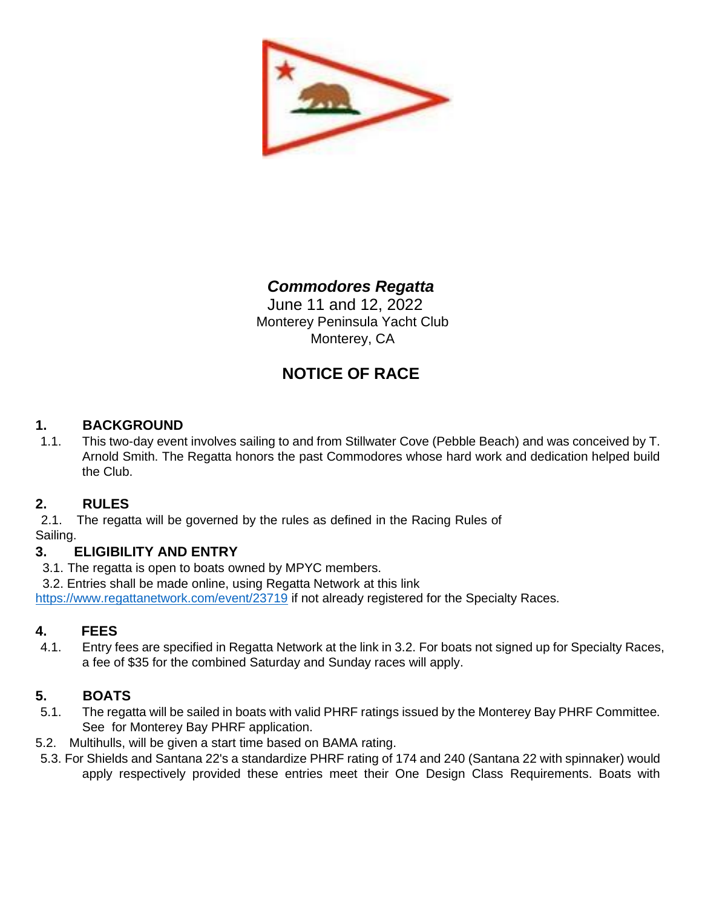

# *Commodores Regatta*

June 11 and 12, 2022 Monterey Peninsula Yacht Club Monterey, CA

# **NOTICE OF RACE**

## **1. BACKGROUND**

1.1. This two-day event involves sailing to and from Stillwater Cove (Pebble Beach) and was conceived by T. Arnold Smith. The Regatta honors the past Commodores whose hard work and dedication helped build the Club.

## **2. RULES**

2.1. The regatta will be governed by the rules as defined in the Racing Rules of Sailing.

## **3. ELIGIBILITY AND ENTRY**

3.1. The regatta is open to boats owned by MPYC members.

3.2. Entries shall be made online, using Regatta Network at this link

<https://www.regattanetwork.com/event/23719> if not already registered for the Specialty Races.

## **4. FEES**

4.1. Entry fees are specified in Regatta Network at the link in 3.2. For boats not signed up for Specialty Races, a fee of \$35 for the combined Saturday and Sunday races will apply.

## **5. BOATS**

- 5.1. The regatta will be sailed in boats with valid PHRF ratings issued by the Monterey Bay PHRF Committee. See [fo](http://club.scyc.org/2018/01/01/phrf-monterey-bay-rating-application/)r Monterey Bay PHRF application.
- 5.2. Multihulls, will be given a start time based on BAMA rating.
- 5.3. For Shields and Santana 22's a standardize PHRF rating of 174 and 240 (Santana 22 with spinnaker) would apply respectively provided these entries meet their One Design Class Requirements. Boats with